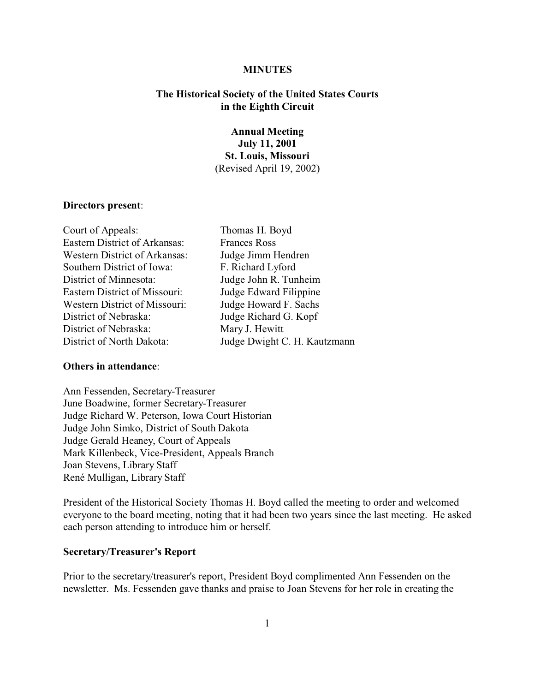### **MINUTES**

# **The Historical Society of the United States Courts in the Eighth Circuit**

# **Annual Meeting July 11, 2001 St. Louis, Missouri** (Revised April 19, 2002)

# **Directors present**:

| Court of Appeals:                    | Thomas H. Boyd               |
|--------------------------------------|------------------------------|
| <b>Eastern District of Arkansas:</b> | <b>Frances Ross</b>          |
| <b>Western District of Arkansas:</b> | Judge Jimm Hendren           |
| Southern District of Iowa:           | F. Richard Lyford            |
| District of Minnesota:               | Judge John R. Tunheim        |
| <b>Eastern District of Missouri:</b> | Judge Edward Filippine       |
| <b>Western District of Missouri:</b> | Judge Howard F. Sachs        |
| District of Nebraska:                | Judge Richard G. Kopf        |
| District of Nebraska:                | Mary J. Hewitt               |
| District of North Dakota:            | Judge Dwight C. H. Kautzmann |

# **Others in attendance**:

Ann Fessenden, Secretary-Treasurer June Boadwine, former Secretary-Treasurer Judge Richard W. Peterson, Iowa Court Historian Judge John Simko, District of South Dakota Judge Gerald Heaney, Court of Appeals Mark Killenbeck, Vice-President, Appeals Branch Joan Stevens, Library Staff René Mulligan, Library Staff

President of the Historical Society Thomas H. Boyd called the meeting to order and welcomed everyone to the board meeting, noting that it had been two years since the last meeting. He asked each person attending to introduce him or herself.

#### **Secretary/Treasurer's Report**

Prior to the secretary/treasurer's report, President Boyd complimented Ann Fessenden on the newsletter. Ms. Fessenden gave thanks and praise to Joan Stevens for her role in creating the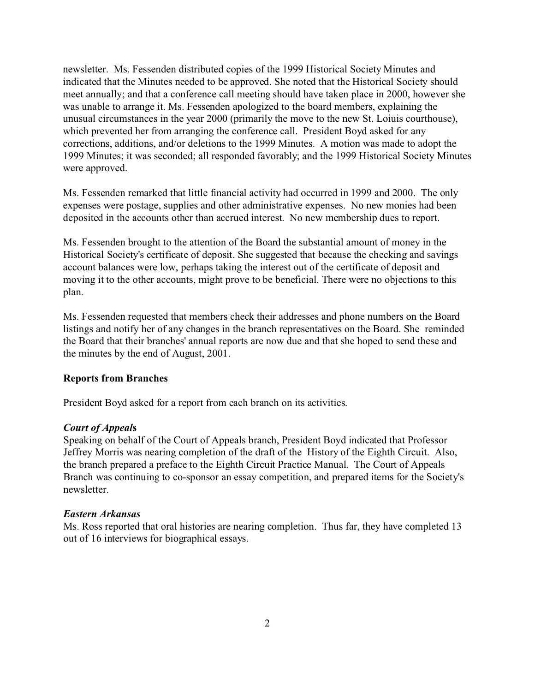newsletter. Ms. Fessenden distributed copies of the 1999 Historical Society Minutes and indicated that the Minutes needed to be approved. She noted that the Historical Society should meet annually; and that a conference call meeting should have taken place in 2000, however she was unable to arrange it. Ms. Fessenden apologized to the board members, explaining the unusual circumstances in the year 2000 (primarily the move to the new St. Loiuis courthouse), which prevented her from arranging the conference call. President Boyd asked for any corrections, additions, and/or deletions to the 1999 Minutes. A motion was made to adopt the 1999 Minutes; it was seconded; all responded favorably; and the 1999 Historical Society Minutes were approved.

Ms. Fessenden remarked that little financial activity had occurred in 1999 and 2000. The only expenses were postage, supplies and other administrative expenses. No new monies had been deposited in the accounts other than accrued interest. No new membership dues to report.

Ms. Fessenden brought to the attention of the Board the substantial amount of money in the Historical Society's certificate of deposit. She suggested that because the checking and savings account balances were low, perhaps taking the interest out of the certificate of deposit and moving it to the other accounts, might prove to be beneficial. There were no objections to this plan.

Ms. Fessenden requested that members check their addresses and phone numbers on the Board listings and notify her of any changes in the branch representatives on the Board. She reminded the Board that their branches' annual reports are now due and that she hoped to send these and the minutes by the end of August, 2001.

# **Reports from Branches**

President Boyd asked for a report from each branch on its activities.

# *Court of Appeal***s**

Speaking on behalf of the Court of Appeals branch, President Boyd indicated that Professor Jeffrey Morris was nearing completion of the draft of the History of the Eighth Circuit. Also, the branch prepared a preface to the Eighth Circuit Practice Manual. The Court of Appeals Branch was continuing to co-sponsor an essay competition, and prepared items for the Society's newsletter.

# *Eastern Arkansas*

Ms. Ross reported that oral histories are nearing completion. Thus far, they have completed 13 out of 16 interviews for biographical essays.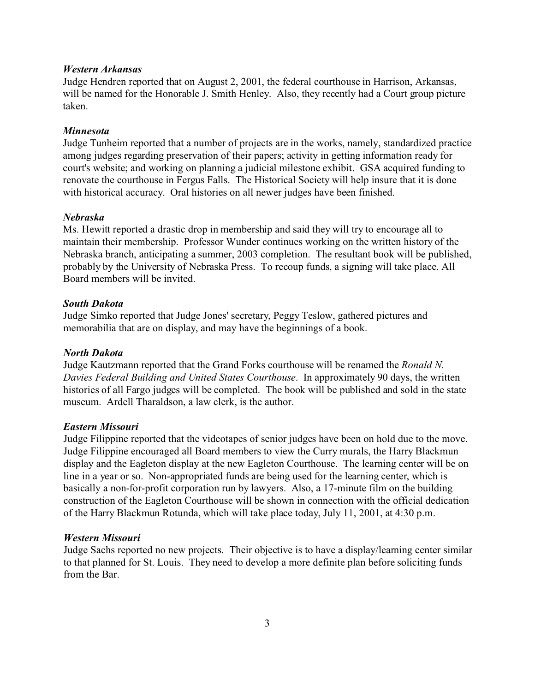## *Western Arkansas*

Judge Hendren reported that on August 2, 2001, the federal courthouse in Harrison, Arkansas, will be named for the Honorable J. Smith Henley. Also, they recently had a Court group picture taken.

## *Minnesota*

Judge Tunheim reported that a number of projects are in the works, namely, standardized practice among judges regarding preservation of their papers; activity in getting information ready for court's website; and working on planning a judicial milestone exhibit. GSA acquired funding to renovate the courthouse in Fergus Falls. The Historical Society will help insure that it is done with historical accuracy. Oral histories on all newer judges have been finished.

### *Nebraska*

Ms. Hewitt reported a drastic drop in membership and said they will try to encourage all to maintain their membership. Professor Wunder continues working on the written history of the Nebraska branch, anticipating a summer, 2003 completion. The resultant book will be published, probably by the University of Nebraska Press. To recoup funds, a signing will take place. All Board members will be invited.

# *South Dakota*

Judge Simko reported that Judge Jones' secretary, Peggy Teslow, gathered pictures and memorabilia that are on display, and may have the beginnings of a book.

### *North Dakota*

Judge Kautzmann reported that the Grand Forks courthouse will be renamed the *Ronald N. Davies Federal Building and United States Courthouse*. In approximately 90 days, the written histories of all Fargo judges will be completed. The book will be published and sold in the state museum. Ardell Tharaldson, a law clerk, is the author.

### *Eastern Missouri*

Judge Filippine reported that the videotapes of senior judges have been on hold due to the move. Judge Filippine encouraged all Board members to view the Curry murals, the Harry Blackmun display and the Eagleton display at the new Eagleton Courthouse. The learning center will be on line in a year or so. Non-appropriated funds are being used for the learning center, which is basically a non-for-profit corporation run by lawyers. Also, a 17-minute film on the building construction of the Eagleton Courthouse will be shown in connection with the official dedication of the Harry Blackmun Rotunda, which will take place today, July 11, 2001, at 4:30 p.m.

### *Western Missouri*

Judge Sachs reported no new projects. Their objective is to have a display/learning center similar to that planned for St. Louis. They need to develop a more definite plan before soliciting funds from the Bar.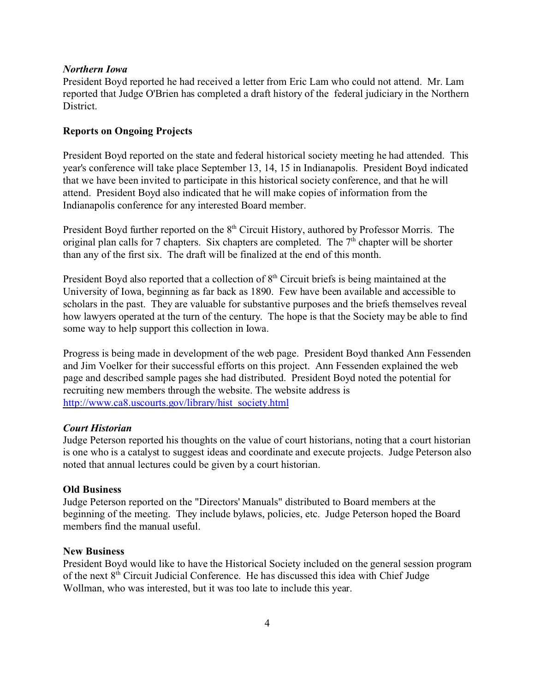### *Northern Iowa*

President Boyd reported he had received a letter from Eric Lam who could not attend. Mr. Lam reported that Judge O'Brien has completed a draft history of the federal judiciary in the Northern District.

## **Reports on Ongoing Projects**

President Boyd reported on the state and federal historical society meeting he had attended. This year's conference will take place September 13, 14, 15 in Indianapolis. President Boyd indicated that we have been invited to participate in this historical society conference, and that he will attend. President Boyd also indicated that he will make copies of information from the Indianapolis conference for any interested Board member.

President Boyd further reported on the 8<sup>th</sup> Circuit History, authored by Professor Morris. The original plan calls for 7 chapters. Six chapters are completed. The  $7<sup>th</sup>$  chapter will be shorter than any of the first six. The draft will be finalized at the end of this month.

President Boyd also reported that a collection of  $8<sup>th</sup>$  Circuit briefs is being maintained at the University of Iowa, beginning as far back as 1890. Few have been available and accessible to scholars in the past. They are valuable for substantive purposes and the briefs themselves reveal how lawyers operated at the turn of the century. The hope is that the Society may be able to find some way to help support this collection in Iowa.

Progress is being made in development of the web page. President Boyd thanked Ann Fessenden and Jim Voelker for their successful efforts on this project. Ann Fessenden explained the web page and described sample pages she had distributed. President Boyd noted the potential for recruiting new members through the website. The website address is http://www.ca8.uscourts.gov/library/hist\_society.html

### *Court Historian*

Judge Peterson reported his thoughts on the value of court historians, noting that a court historian is one who is a catalyst to suggest ideas and coordinate and execute projects. Judge Peterson also noted that annual lectures could be given by a court historian.

## **Old Business**

Judge Peterson reported on the "Directors' Manuals" distributed to Board members at the beginning of the meeting. They include bylaws, policies, etc. Judge Peterson hoped the Board members find the manual useful.

### **New Business**

President Boyd would like to have the Historical Society included on the general session program of the next 8th Circuit Judicial Conference. He has discussed this idea with Chief Judge Wollman, who was interested, but it was too late to include this year.